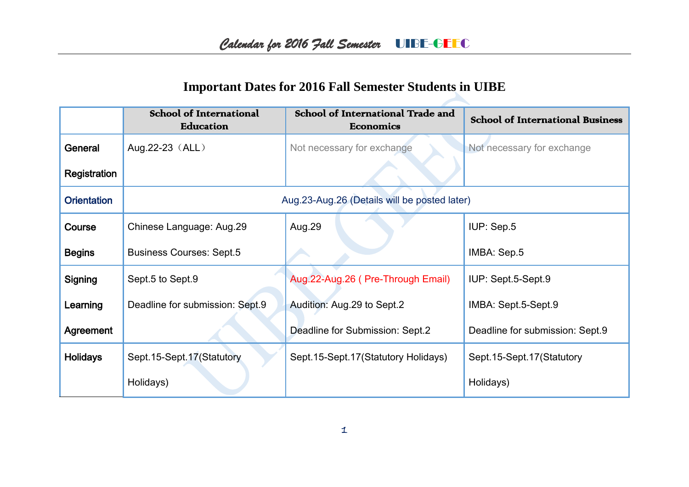## **Important Dates for 2016 Fall Semester Students in UIBE**

|                    | <b>School of International</b><br>Education  | School of International Trade and<br>Economics | <b>School of International Business</b> |
|--------------------|----------------------------------------------|------------------------------------------------|-----------------------------------------|
| General            | Aug.22-23 (ALL)                              | Not necessary for exchange                     | Not necessary for exchange              |
| Registration       |                                              |                                                |                                         |
| <b>Orientation</b> | Aug.23-Aug.26 (Details will be posted later) |                                                |                                         |
| Course             | Chinese Language: Aug.29                     | Aug.29                                         | IUP: Sep.5                              |
| <b>Begins</b>      | <b>Business Courses: Sept.5</b>              |                                                | IMBA: Sep.5                             |
| Signing            | Sept.5 to Sept.9                             | Aug.22-Aug.26 (Pre-Through Email)              | IUP: Sept.5-Sept.9                      |
| Learning           | Deadline for submission: Sept.9              | Audition: Aug.29 to Sept.2                     | IMBA: Sept.5-Sept.9                     |
| Agreement          |                                              | Deadline for Submission: Sept.2                | Deadline for submission: Sept.9         |
| <b>Holidays</b>    | Sept.15-Sept.17(Statutory                    | Sept. 15-Sept. 17 (Statutory Holidays)         | Sept. 15-Sept. 17 (Statutory            |
|                    | Holidays)                                    |                                                | Holidays)                               |